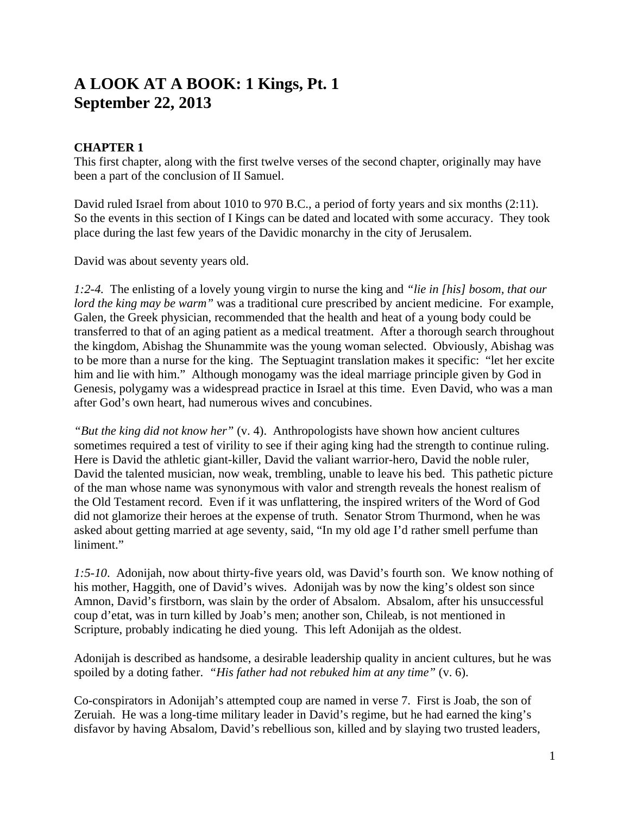# **A LOOK AT A BOOK: 1 Kings, Pt. 1 September 22, 2013**

# **CHAPTER 1**

This first chapter, along with the first twelve verses of the second chapter, originally may have been a part of the conclusion of II Samuel.

David ruled Israel from about 1010 to 970 B.C., a period of forty years and six months (2:11). So the events in this section of I Kings can be dated and located with some accuracy. They took place during the last few years of the Davidic monarchy in the city of Jerusalem.

David was about seventy years old.

*1:2-4.* The enlisting of a lovely young virgin to nurse the king and *"lie in [his] bosom, that our lord the king may be warm"* was a traditional cure prescribed by ancient medicine. For example, Galen, the Greek physician, recommended that the health and heat of a young body could be transferred to that of an aging patient as a medical treatment. After a thorough search throughout the kingdom, Abishag the Shunammite was the young woman selected. Obviously, Abishag was to be more than a nurse for the king. The Septuagint translation makes it specific: "let her excite him and lie with him." Although monogamy was the ideal marriage principle given by God in Genesis, polygamy was a widespread practice in Israel at this time. Even David, who was a man after God's own heart, had numerous wives and concubines.

*"But the king did not know her"* (v. 4). Anthropologists have shown how ancient cultures sometimes required a test of virility to see if their aging king had the strength to continue ruling. Here is David the athletic giant-killer, David the valiant warrior-hero, David the noble ruler, David the talented musician, now weak, trembling, unable to leave his bed. This pathetic picture of the man whose name was synonymous with valor and strength reveals the honest realism of the Old Testament record. Even if it was unflattering, the inspired writers of the Word of God did not glamorize their heroes at the expense of truth. Senator Strom Thurmond, when he was asked about getting married at age seventy, said, "In my old age I'd rather smell perfume than liniment."

*1:5-10*. Adonijah, now about thirty-five years old, was David's fourth son. We know nothing of his mother, Haggith, one of David's wives. Adonijah was by now the king's oldest son since Amnon, David's firstborn, was slain by the order of Absalom. Absalom, after his unsuccessful coup d'etat, was in turn killed by Joab's men; another son, Chileab, is not mentioned in Scripture, probably indicating he died young. This left Adonijah as the oldest.

Adonijah is described as handsome, a desirable leadership quality in ancient cultures, but he was spoiled by a doting father. *"His father had not rebuked him at any time"* (v. 6).

Co-conspirators in Adonijah's attempted coup are named in verse 7. First is Joab, the son of Zeruiah. He was a long-time military leader in David's regime, but he had earned the king's disfavor by having Absalom, David's rebellious son, killed and by slaying two trusted leaders,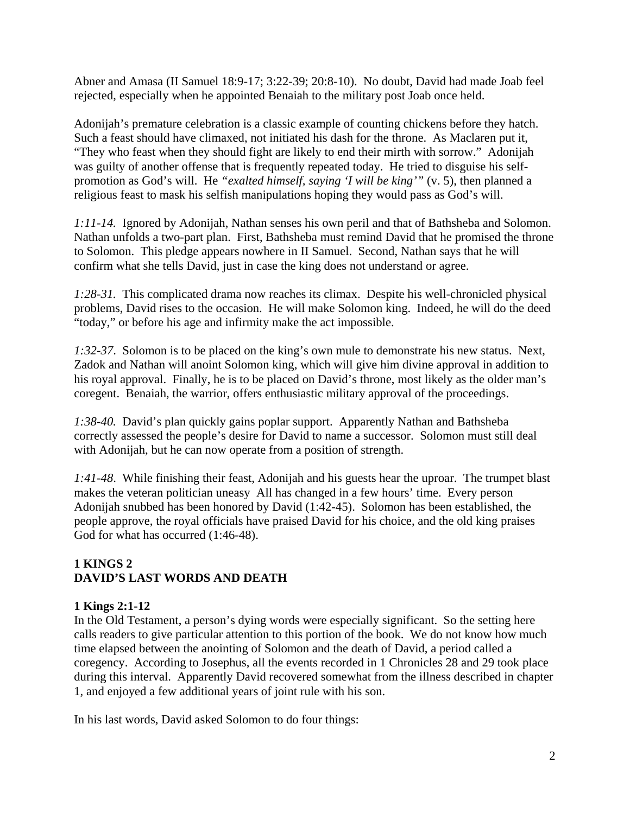Abner and Amasa (II Samuel 18:9-17; 3:22-39; 20:8-10). No doubt, David had made Joab feel rejected, especially when he appointed Benaiah to the military post Joab once held.

Adonijah's premature celebration is a classic example of counting chickens before they hatch. Such a feast should have climaxed, not initiated his dash for the throne. As Maclaren put it, "They who feast when they should fight are likely to end their mirth with sorrow." Adonijah was guilty of another offense that is frequently repeated today. He tried to disguise his selfpromotion as God's will. He *"exalted himself, saying 'I will be king'"* (v. 5), then planned a religious feast to mask his selfish manipulations hoping they would pass as God's will.

*1:11-14.* Ignored by Adonijah, Nathan senses his own peril and that of Bathsheba and Solomon. Nathan unfolds a two-part plan. First, Bathsheba must remind David that he promised the throne to Solomon. This pledge appears nowhere in II Samuel. Second, Nathan says that he will confirm what she tells David, just in case the king does not understand or agree.

*1:28-31.* This complicated drama now reaches its climax. Despite his well-chronicled physical problems, David rises to the occasion. He will make Solomon king. Indeed, he will do the deed "today," or before his age and infirmity make the act impossible.

*1:32-37*. Solomon is to be placed on the king's own mule to demonstrate his new status. Next, Zadok and Nathan will anoint Solomon king, which will give him divine approval in addition to his royal approval. Finally, he is to be placed on David's throne, most likely as the older man's coregent. Benaiah, the warrior, offers enthusiastic military approval of the proceedings.

*1:38-40.* David's plan quickly gains poplar support. Apparently Nathan and Bathsheba correctly assessed the people's desire for David to name a successor. Solomon must still deal with Adonijah, but he can now operate from a position of strength.

*1:41-48*. While finishing their feast, Adonijah and his guests hear the uproar. The trumpet blast makes the veteran politician uneasy All has changed in a few hours' time. Every person Adonijah snubbed has been honored by David (1:42-45). Solomon has been established, the people approve, the royal officials have praised David for his choice, and the old king praises God for what has occurred (1:46-48).

# **1 KINGS 2 DAVID'S LAST WORDS AND DEATH**

## **1 Kings 2:1-12**

In the Old Testament, a person's dying words were especially significant. So the setting here calls readers to give particular attention to this portion of the book. We do not know how much time elapsed between the anointing of Solomon and the death of David, a period called a coregency. According to Josephus, all the events recorded in 1 Chronicles 28 and 29 took place during this interval. Apparently David recovered somewhat from the illness described in chapter 1, and enjoyed a few additional years of joint rule with his son.

In his last words, David asked Solomon to do four things: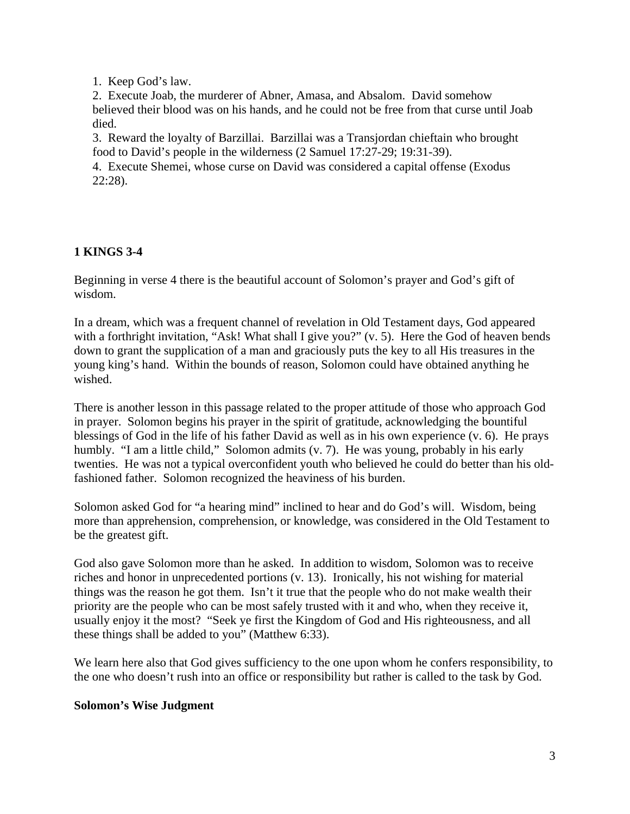1. Keep God's law.

2. Execute Joab, the murderer of Abner, Amasa, and Absalom. David somehow believed their blood was on his hands, and he could not be free from that curse until Joab died.

3. Reward the loyalty of Barzillai. Barzillai was a Transjordan chieftain who brought food to David's people in the wilderness (2 Samuel 17:27-29; 19:31-39).

4. Execute Shemei, whose curse on David was considered a capital offense (Exodus 22:28).

# **1 KINGS 3-4**

Beginning in verse 4 there is the beautiful account of Solomon's prayer and God's gift of wisdom.

In a dream, which was a frequent channel of revelation in Old Testament days, God appeared with a forthright invitation, "Ask! What shall I give you?" (v. 5). Here the God of heaven bends down to grant the supplication of a man and graciously puts the key to all His treasures in the young king's hand. Within the bounds of reason, Solomon could have obtained anything he wished.

There is another lesson in this passage related to the proper attitude of those who approach God in prayer. Solomon begins his prayer in the spirit of gratitude, acknowledging the bountiful blessings of God in the life of his father David as well as in his own experience (v. 6). He prays humbly. "I am a little child," Solomon admits (v. 7). He was young, probably in his early twenties. He was not a typical overconfident youth who believed he could do better than his oldfashioned father. Solomon recognized the heaviness of his burden.

Solomon asked God for "a hearing mind" inclined to hear and do God's will. Wisdom, being more than apprehension, comprehension, or knowledge, was considered in the Old Testament to be the greatest gift.

God also gave Solomon more than he asked. In addition to wisdom, Solomon was to receive riches and honor in unprecedented portions (v. 13). Ironically, his not wishing for material things was the reason he got them. Isn't it true that the people who do not make wealth their priority are the people who can be most safely trusted with it and who, when they receive it, usually enjoy it the most? "Seek ye first the Kingdom of God and His righteousness, and all these things shall be added to you" (Matthew 6:33).

We learn here also that God gives sufficiency to the one upon whom he confers responsibility, to the one who doesn't rush into an office or responsibility but rather is called to the task by God.

## **Solomon's Wise Judgment**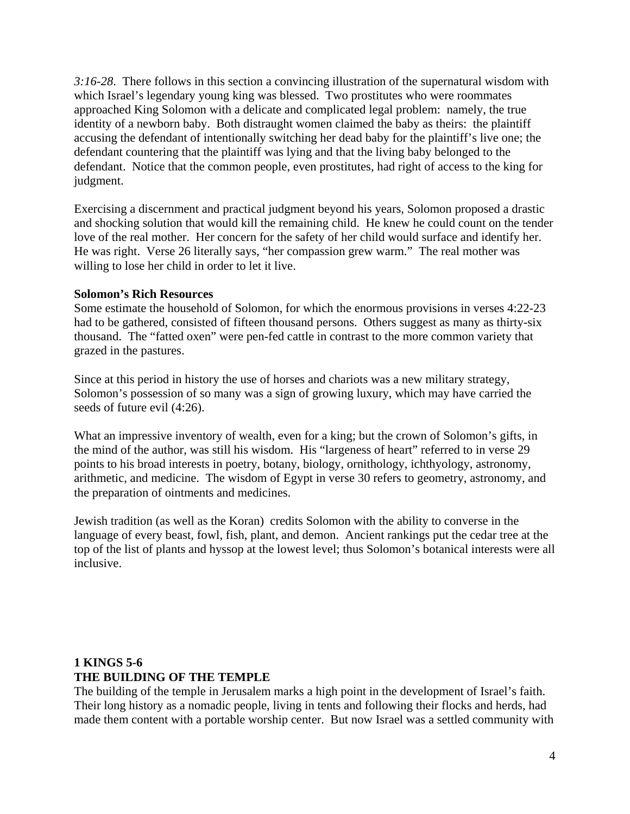*3:16-28*. There follows in this section a convincing illustration of the supernatural wisdom with which Israel's legendary young king was blessed. Two prostitutes who were roommates approached King Solomon with a delicate and complicated legal problem: namely, the true identity of a newborn baby. Both distraught women claimed the baby as theirs: the plaintiff accusing the defendant of intentionally switching her dead baby for the plaintiff's live one; the defendant countering that the plaintiff was lying and that the living baby belonged to the defendant. Notice that the common people, even prostitutes, had right of access to the king for judgment.

Exercising a discernment and practical judgment beyond his years, Solomon proposed a drastic and shocking solution that would kill the remaining child. He knew he could count on the tender love of the real mother. Her concern for the safety of her child would surface and identify her. He was right. Verse 26 literally says, "her compassion grew warm." The real mother was willing to lose her child in order to let it live.

#### **Solomon's Rich Resources**

Some estimate the household of Solomon, for which the enormous provisions in verses 4:22-23 had to be gathered, consisted of fifteen thousand persons. Others suggest as many as thirty-six thousand. The "fatted oxen" were pen-fed cattle in contrast to the more common variety that grazed in the pastures.

Since at this period in history the use of horses and chariots was a new military strategy, Solomon's possession of so many was a sign of growing luxury, which may have carried the seeds of future evil (4:26).

What an impressive inventory of wealth, even for a king; but the crown of Solomon's gifts, in the mind of the author, was still his wisdom. His "largeness of heart" referred to in verse 29 points to his broad interests in poetry, botany, biology, ornithology, ichthyology, astronomy, arithmetic, and medicine. The wisdom of Egypt in verse 30 refers to geometry, astronomy, and the preparation of ointments and medicines.

Jewish tradition (as well as the Koran) credits Solomon with the ability to converse in the language of every beast, fowl, fish, plant, and demon. Ancient rankings put the cedar tree at the top of the list of plants and hyssop at the lowest level; thus Solomon's botanical interests were all inclusive.

# **1 KINGS 5-6 THE BUILDING OF THE TEMPLE**

The building of the temple in Jerusalem marks a high point in the development of Israel's faith. Their long history as a nomadic people, living in tents and following their flocks and herds, had made them content with a portable worship center. But now Israel was a settled community with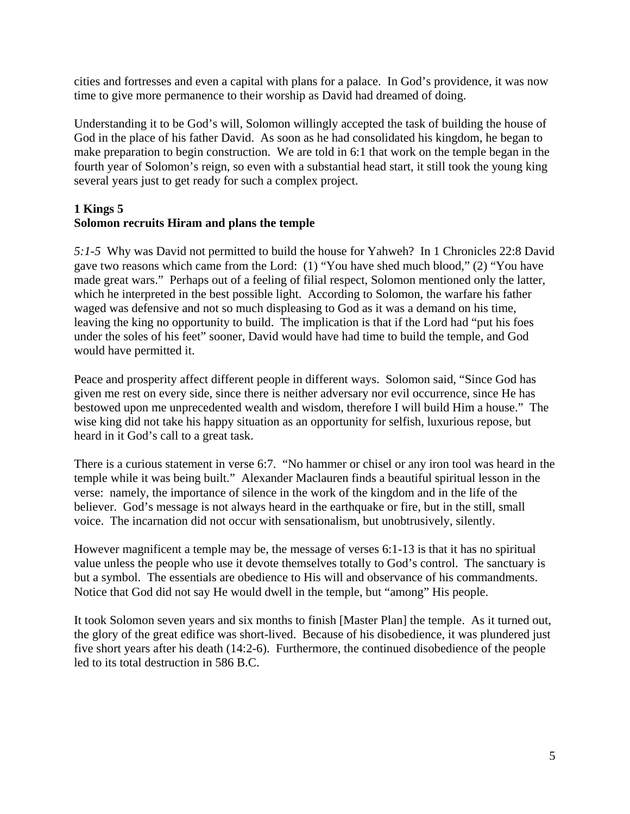cities and fortresses and even a capital with plans for a palace. In God's providence, it was now time to give more permanence to their worship as David had dreamed of doing.

Understanding it to be God's will, Solomon willingly accepted the task of building the house of God in the place of his father David. As soon as he had consolidated his kingdom, he began to make preparation to begin construction. We are told in 6:1 that work on the temple began in the fourth year of Solomon's reign, so even with a substantial head start, it still took the young king several years just to get ready for such a complex project.

#### **1 Kings 5 Solomon recruits Hiram and plans the temple**

*5:1-5* Why was David not permitted to build the house for Yahweh? In 1 Chronicles 22:8 David gave two reasons which came from the Lord: (1) "You have shed much blood," (2) "You have made great wars." Perhaps out of a feeling of filial respect, Solomon mentioned only the latter, which he interpreted in the best possible light. According to Solomon, the warfare his father waged was defensive and not so much displeasing to God as it was a demand on his time, leaving the king no opportunity to build. The implication is that if the Lord had "put his foes under the soles of his feet" sooner, David would have had time to build the temple, and God would have permitted it.

Peace and prosperity affect different people in different ways. Solomon said, "Since God has given me rest on every side, since there is neither adversary nor evil occurrence, since He has bestowed upon me unprecedented wealth and wisdom, therefore I will build Him a house." The wise king did not take his happy situation as an opportunity for selfish, luxurious repose, but heard in it God's call to a great task.

There is a curious statement in verse 6:7. "No hammer or chisel or any iron tool was heard in the temple while it was being built." Alexander Maclauren finds a beautiful spiritual lesson in the verse: namely, the importance of silence in the work of the kingdom and in the life of the believer. God's message is not always heard in the earthquake or fire, but in the still, small voice. The incarnation did not occur with sensationalism, but unobtrusively, silently.

However magnificent a temple may be, the message of verses 6:1-13 is that it has no spiritual value unless the people who use it devote themselves totally to God's control. The sanctuary is but a symbol. The essentials are obedience to His will and observance of his commandments. Notice that God did not say He would dwell in the temple, but "among" His people.

It took Solomon seven years and six months to finish [Master Plan] the temple. As it turned out, the glory of the great edifice was short-lived. Because of his disobedience, it was plundered just five short years after his death (14:2-6). Furthermore, the continued disobedience of the people led to its total destruction in 586 B.C.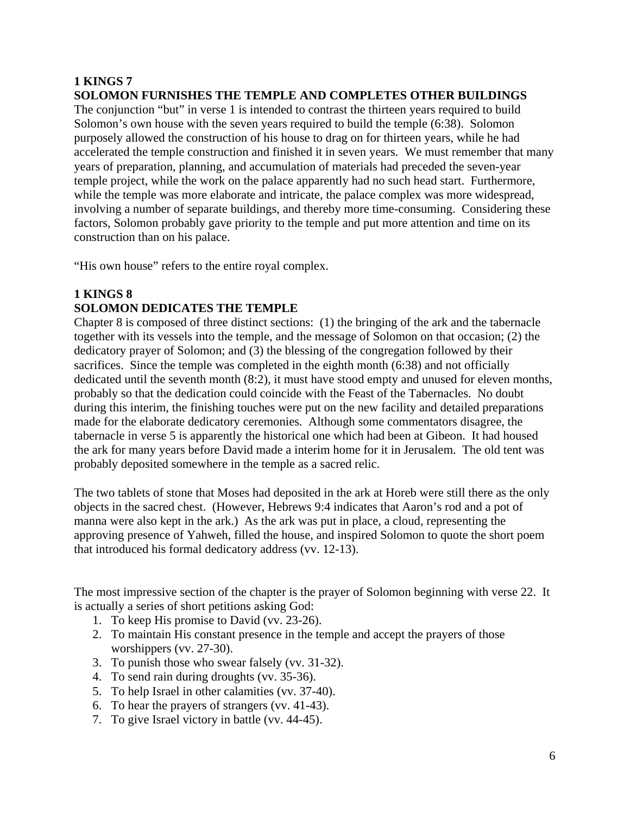#### **1 KINGS 7 SOLOMON FURNISHES THE TEMPLE AND COMPLETES OTHER BUILDINGS**

The conjunction "but" in verse 1 is intended to contrast the thirteen years required to build Solomon's own house with the seven years required to build the temple (6:38). Solomon purposely allowed the construction of his house to drag on for thirteen years, while he had accelerated the temple construction and finished it in seven years. We must remember that many years of preparation, planning, and accumulation of materials had preceded the seven-year temple project, while the work on the palace apparently had no such head start. Furthermore, while the temple was more elaborate and intricate, the palace complex was more widespread, involving a number of separate buildings, and thereby more time-consuming. Considering these factors, Solomon probably gave priority to the temple and put more attention and time on its construction than on his palace.

"His own house" refers to the entire royal complex.

# **1 KINGS 8**

# **SOLOMON DEDICATES THE TEMPLE**

Chapter 8 is composed of three distinct sections: (1) the bringing of the ark and the tabernacle together with its vessels into the temple, and the message of Solomon on that occasion; (2) the dedicatory prayer of Solomon; and (3) the blessing of the congregation followed by their sacrifices. Since the temple was completed in the eighth month (6:38) and not officially dedicated until the seventh month (8:2), it must have stood empty and unused for eleven months, probably so that the dedication could coincide with the Feast of the Tabernacles. No doubt during this interim, the finishing touches were put on the new facility and detailed preparations made for the elaborate dedicatory ceremonies. Although some commentators disagree, the tabernacle in verse 5 is apparently the historical one which had been at Gibeon. It had housed the ark for many years before David made a interim home for it in Jerusalem. The old tent was probably deposited somewhere in the temple as a sacred relic.

The two tablets of stone that Moses had deposited in the ark at Horeb were still there as the only objects in the sacred chest. (However, Hebrews 9:4 indicates that Aaron's rod and a pot of manna were also kept in the ark.) As the ark was put in place, a cloud, representing the approving presence of Yahweh, filled the house, and inspired Solomon to quote the short poem that introduced his formal dedicatory address (vv. 12-13).

The most impressive section of the chapter is the prayer of Solomon beginning with verse 22. It is actually a series of short petitions asking God:

- 1. To keep His promise to David (vv. 23-26).
- 2. To maintain His constant presence in the temple and accept the prayers of those worshippers (vv. 27-30).
- 3. To punish those who swear falsely (vv. 31-32).
- 4. To send rain during droughts (vv. 35-36).
- 5. To help Israel in other calamities (vv. 37-40).
- 6. To hear the prayers of strangers (vv. 41-43).
- 7. To give Israel victory in battle (vv. 44-45).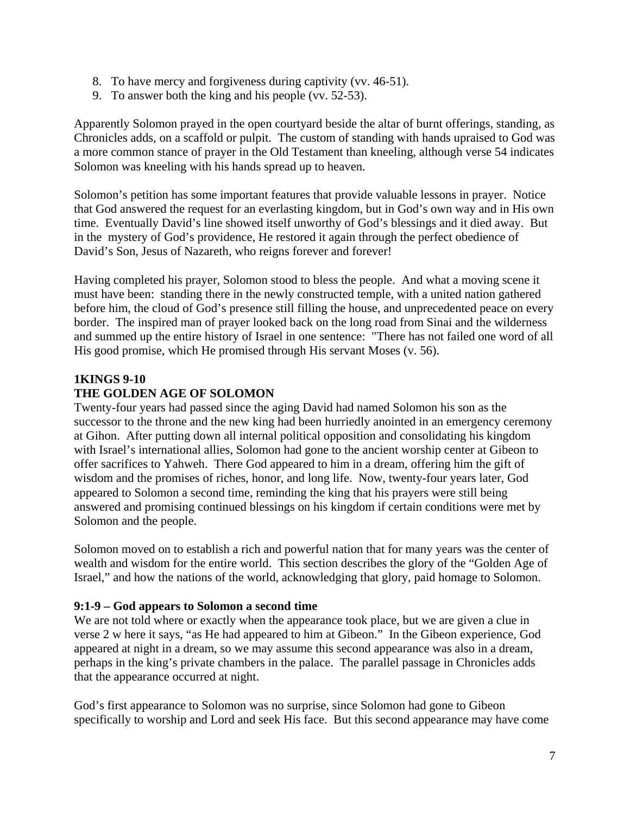- 8. To have mercy and forgiveness during captivity (vv. 46-51).
- 9. To answer both the king and his people (vv. 52-53).

Apparently Solomon prayed in the open courtyard beside the altar of burnt offerings, standing, as Chronicles adds, on a scaffold or pulpit. The custom of standing with hands upraised to God was a more common stance of prayer in the Old Testament than kneeling, although verse 54 indicates Solomon was kneeling with his hands spread up to heaven.

Solomon's petition has some important features that provide valuable lessons in prayer. Notice that God answered the request for an everlasting kingdom, but in God's own way and in His own time. Eventually David's line showed itself unworthy of God's blessings and it died away. But in the mystery of God's providence, He restored it again through the perfect obedience of David's Son, Jesus of Nazareth, who reigns forever and forever!

Having completed his prayer, Solomon stood to bless the people. And what a moving scene it must have been: standing there in the newly constructed temple, with a united nation gathered before him, the cloud of God's presence still filling the house, and unprecedented peace on every border. The inspired man of prayer looked back on the long road from Sinai and the wilderness and summed up the entire history of Israel in one sentence: "There has not failed one word of all His good promise, which He promised through His servant Moses (v. 56).

#### **1KINGS 9-10**

#### **THE GOLDEN AGE OF SOLOMON**

Twenty-four years had passed since the aging David had named Solomon his son as the successor to the throne and the new king had been hurriedly anointed in an emergency ceremony at Gihon. After putting down all internal political opposition and consolidating his kingdom with Israel's international allies, Solomon had gone to the ancient worship center at Gibeon to offer sacrifices to Yahweh. There God appeared to him in a dream, offering him the gift of wisdom and the promises of riches, honor, and long life. Now, twenty-four years later, God appeared to Solomon a second time, reminding the king that his prayers were still being answered and promising continued blessings on his kingdom if certain conditions were met by Solomon and the people.

Solomon moved on to establish a rich and powerful nation that for many years was the center of wealth and wisdom for the entire world. This section describes the glory of the "Golden Age of Israel," and how the nations of the world, acknowledging that glory, paid homage to Solomon.

#### **9:1-9 – God appears to Solomon a second time**

We are not told where or exactly when the appearance took place, but we are given a clue in verse 2 w here it says, "as He had appeared to him at Gibeon." In the Gibeon experience, God appeared at night in a dream, so we may assume this second appearance was also in a dream, perhaps in the king's private chambers in the palace. The parallel passage in Chronicles adds that the appearance occurred at night.

God's first appearance to Solomon was no surprise, since Solomon had gone to Gibeon specifically to worship and Lord and seek His face. But this second appearance may have come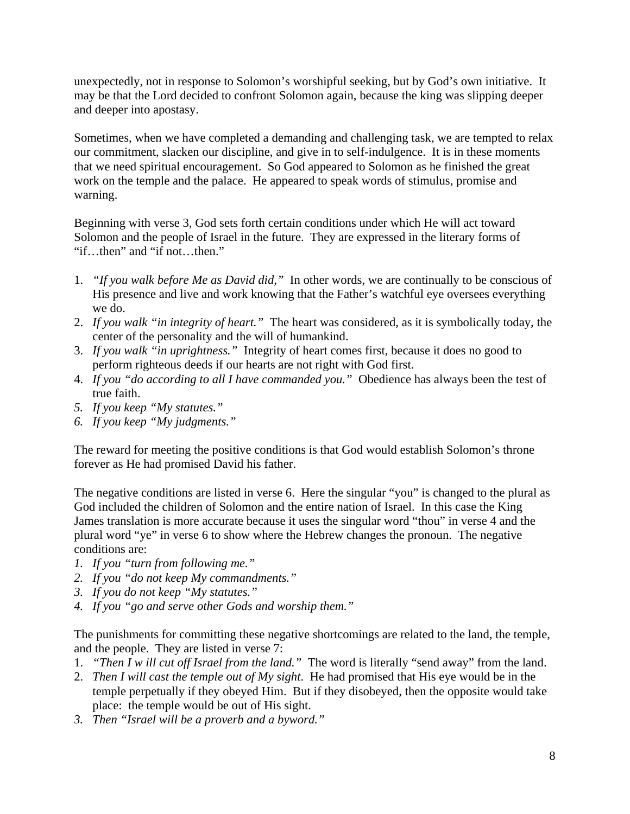unexpectedly, not in response to Solomon's worshipful seeking, but by God's own initiative. It may be that the Lord decided to confront Solomon again, because the king was slipping deeper and deeper into apostasy.

Sometimes, when we have completed a demanding and challenging task, we are tempted to relax our commitment, slacken our discipline, and give in to self-indulgence. It is in these moments that we need spiritual encouragement. So God appeared to Solomon as he finished the great work on the temple and the palace. He appeared to speak words of stimulus, promise and warning.

Beginning with verse 3, God sets forth certain conditions under which He will act toward Solomon and the people of Israel in the future. They are expressed in the literary forms of "if…then" and "if not…then."

- 1. *"If you walk before Me as David did,"* In other words, we are continually to be conscious of His presence and live and work knowing that the Father's watchful eye oversees everything we do.
- 2. *If you walk "in integrity of heart."* The heart was considered, as it is symbolically today, the center of the personality and the will of humankind.
- 3. *If you walk "in uprightness."* Integrity of heart comes first, because it does no good to perform righteous deeds if our hearts are not right with God first.
- 4. *If you "do according to all I have commanded you."* Obedience has always been the test of true faith.
- *5. If you keep "My statutes."*
- *6. If you keep "My judgments."*

The reward for meeting the positive conditions is that God would establish Solomon's throne forever as He had promised David his father.

The negative conditions are listed in verse 6. Here the singular "you" is changed to the plural as God included the children of Solomon and the entire nation of Israel. In this case the King James translation is more accurate because it uses the singular word "thou" in verse 4 and the plural word "ye" in verse 6 to show where the Hebrew changes the pronoun. The negative conditions are:

- *1. If you "turn from following me."*
- *2. If you "do not keep My commandments."*
- *3. If you do not keep "My statutes."*
- *4. If you "go and serve other Gods and worship them."*

The punishments for committing these negative shortcomings are related to the land, the temple, and the people. They are listed in verse 7:

- 1. *"Then I w ill cut off Israel from the land."* The word is literally "send away" from the land.
- 2. *Then I will cast the temple out of My sight*. He had promised that His eye would be in the temple perpetually if they obeyed Him. But if they disobeyed, then the opposite would take place: the temple would be out of His sight.
- *3. Then "Israel will be a proverb and a byword."*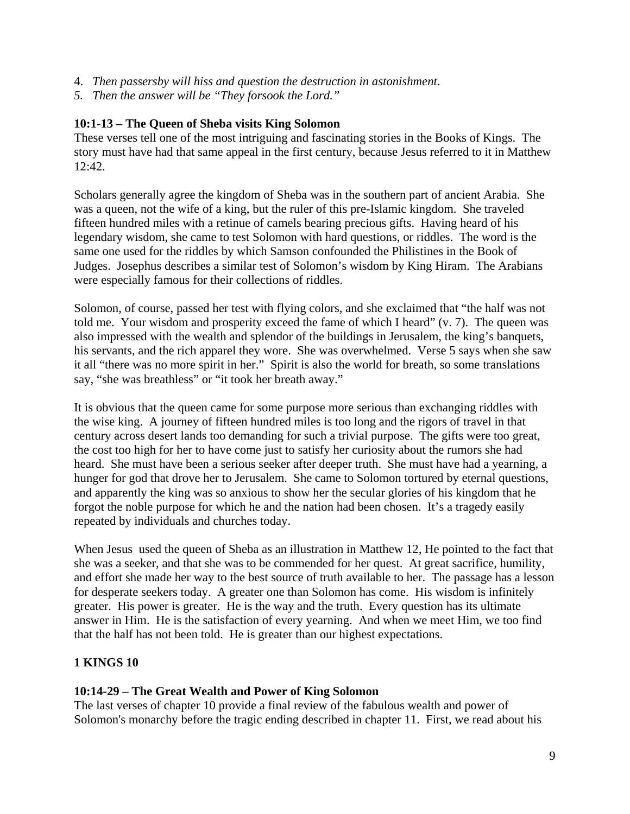- 4. *Then passersby will hiss and question the destruction in astonishment*.
- *5. Then the answer will be "They forsook the Lord."*

# **10:1-13 – The Queen of Sheba visits King Solomon**

These verses tell one of the most intriguing and fascinating stories in the Books of Kings. The story must have had that same appeal in the first century, because Jesus referred to it in Matthew 12:42.

Scholars generally agree the kingdom of Sheba was in the southern part of ancient Arabia. She was a queen, not the wife of a king, but the ruler of this pre-Islamic kingdom. She traveled fifteen hundred miles with a retinue of camels bearing precious gifts. Having heard of his legendary wisdom, she came to test Solomon with hard questions, or riddles. The word is the same one used for the riddles by which Samson confounded the Philistines in the Book of Judges. Josephus describes a similar test of Solomon's wisdom by King Hiram. The Arabians were especially famous for their collections of riddles.

Solomon, of course, passed her test with flying colors, and she exclaimed that "the half was not told me. Your wisdom and prosperity exceed the fame of which I heard" (v. 7). The queen was also impressed with the wealth and splendor of the buildings in Jerusalem, the king's banquets, his servants, and the rich apparel they wore. She was overwhelmed. Verse 5 says when she saw it all "there was no more spirit in her." Spirit is also the world for breath, so some translations say, "she was breathless" or "it took her breath away."

It is obvious that the queen came for some purpose more serious than exchanging riddles with the wise king. A journey of fifteen hundred miles is too long and the rigors of travel in that century across desert lands too demanding for such a trivial purpose. The gifts were too great, the cost too high for her to have come just to satisfy her curiosity about the rumors she had heard. She must have been a serious seeker after deeper truth. She must have had a yearning, a hunger for god that drove her to Jerusalem. She came to Solomon tortured by eternal questions, and apparently the king was so anxious to show her the secular glories of his kingdom that he forgot the noble purpose for which he and the nation had been chosen. It's a tragedy easily repeated by individuals and churches today.

When Jesus used the queen of Sheba as an illustration in Matthew 12, He pointed to the fact that she was a seeker, and that she was to be commended for her quest. At great sacrifice, humility, and effort she made her way to the best source of truth available to her. The passage has a lesson for desperate seekers today. A greater one than Solomon has come. His wisdom is infinitely greater. His power is greater. He is the way and the truth. Every question has its ultimate answer in Him. He is the satisfaction of every yearning. And when we meet Him, we too find that the half has not been told. He is greater than our highest expectations.

## **1 KINGS 10**

## **10:14-29 – The Great Wealth and Power of King Solomon**

The last verses of chapter 10 provide a final review of the fabulous wealth and power of Solomon's monarchy before the tragic ending described in chapter 11. First, we read about his